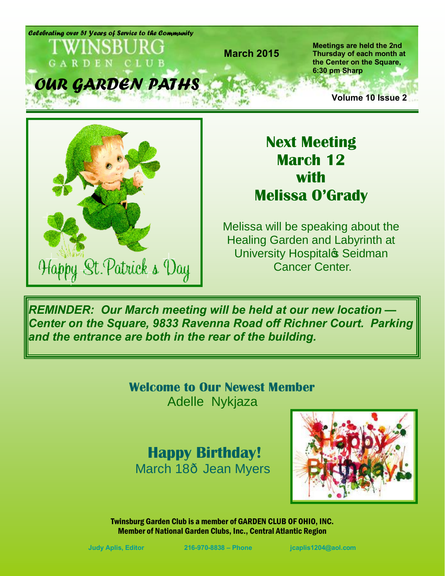*Celebrating over 51 Years of Service to the Community* **Meetings are held the 2nd March 2015 Thursday of each month at the Center on the Square,**  GARDEN CLUB **6:30 pm Sharp** *OUR GARDEN PATHS*  $25 - 13$  ... **Volume 10 Issue 2**



**Next Meeting March 12 with Melissa O'Grady**

Melissa will be speaking about the Healing Garden and Labyrinth at University Hospital<sup>®</sup> Seidman Cancer Center.

*REMINDER: Our March meeting will be held at our new location — Center on the Square, 9833 Ravenna Road off Richner Court. Parking and the entrance are both in the rear of the building.* 

> **Welcome to Our Newest Member** Adelle Nykjaza

## **Happy Birthday!** March 18- Jean Myers

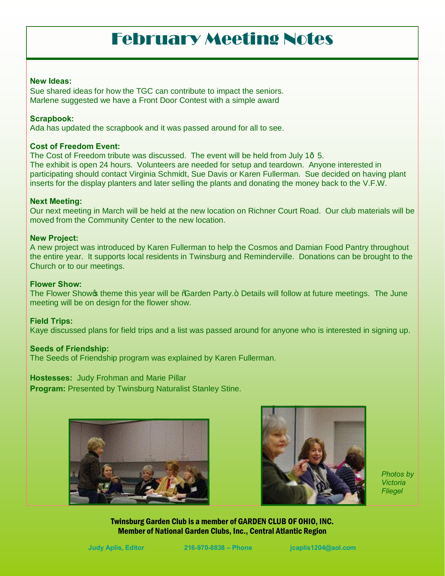## February Meeting Notes

#### **New Ideas:**

Sue shared ideas for how the TGC can contribute to impact the seniors. Marlene suggested we have a Front Door Contest with a simple award

### **Scrapbook:**

Ada has updated the scrapbook and it was passed around for all to see.

### **Cost of Freedom Event:**

The Cost of Freedom tribute was discussed. The event will be held from July 1 $-5$ . The exhibit is open 24 hours. Volunteers are needed for setup and teardown. Anyone interested in participating should contact Virginia Schmidt, Sue Davis or Karen Fullerman. Sue decided on having plant inserts for the display planters and later selling the plants and donating the money back to the V.F.W.

#### **Next Meeting:**

Our next meeting in March will be held at the new location on Richner Court Road. Our club materials will be moved from the Community Center to the new location.

#### **New Project:**

A new project was introduced by Karen Fullerman to help the Cosmos and Damian Food Pantry throughout the entire year. It supports local residents in Twinsburg and Reminderville. Donations can be brought to the Church or to our meetings.

### **Flower Show:**

The Flower Shows theme this year will be %Garden Party.+ Details will follow at future meetings. The June meeting will be on design for the flower show.

#### **Field Trips:**

Kaye discussed plans for field trips and a list was passed around for anyone who is interested in signing up.

#### **Seeds of Friendship:**

The Seeds of Friendship program was explained by Karen Fullerman.

**Hostesses:** Judy Frohman and Marie Pillar

**Program: Presented by Twinsburg Naturalist Stanley Stine.** 





*Photos by Victoria Fliegel*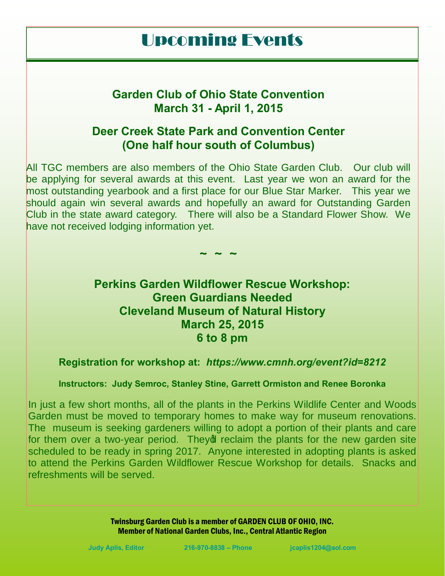## Upcoming Events

### **Garden Club of Ohio State Convention March 31 - April 1, 2015**

### **Deer Creek State Park and Convention Center (One half hour south of Columbus)**

All TGC members are also members of the Ohio State Garden Club. Our club will be applying for several awards at this event. Last year we won an award for the most outstanding yearbook and a first place for our Blue Star Marker. This year we should again win several awards and hopefully an award for Outstanding Garden Club in the state award category. There will also be a Standard Flower Show. We have not received lodging information yet.

**~ ~ ~**

**Perkins Garden Wildflower Rescue Workshop: Green Guardians Needed Cleveland Museum of Natural History March 25, 2015 6 to 8 pm**

**Registration for workshop at:** *https://www.cmnh.org/event?id=8212*

**Instructors: Judy Semroc, Stanley Stine, Garrett Ormiston and Renee Boronka**

In just a few short months, all of the plants in the Perkins Wildlife Center and Woods Garden must be moved to temporary homes to make way for museum renovations. The museum is seeking gardeners willing to adopt a portion of their plants and care for them over a two-year period. They of reclaim the plants for the new garden site scheduled to be ready in spring 2017. Anyone interested in adopting plants is asked to attend the Perkins Garden Wildflower Rescue Workshop for details. Snacks and refreshments will be served.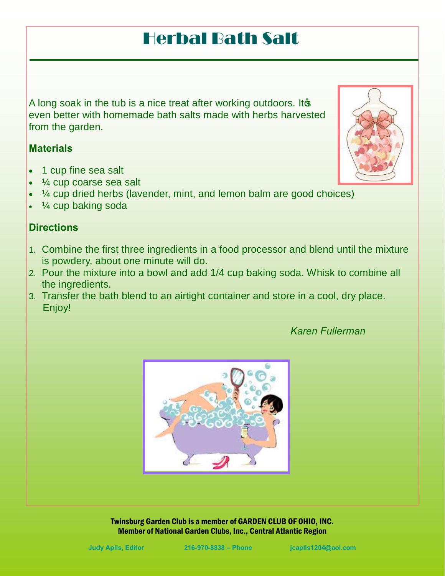## Herbal Bath Salt

A long soak in the tub is a nice treat after working outdoors. It  $\infty$ even better with homemade bath salts made with herbs harvested from the garden.

### **Materials**

- · 1 cup fine sea salt
- $\frac{1}{4}$  cup coarse sea salt
- · ¼ cup dried herbs (lavender, mint, and lemon balm are good choices)
- · ¼ cup baking soda

### **Directions**

- 1. Combine the first three ingredients in a food processor and blend until the mixture is powdery, about one minute will do.
- 2. Pour the mixture into a bowl and add 1/4 cup baking soda. Whisk to combine all the ingredients.
- 3. Transfer the bath blend to an airtight container and store in a cool, dry place. Enjoy!



Twinsburg Garden Club is a member of GARDEN CLUB OF OHIO, INC. Member of National Garden Clubs, Inc., Central Atlantic Region



### *Karen Fullerman*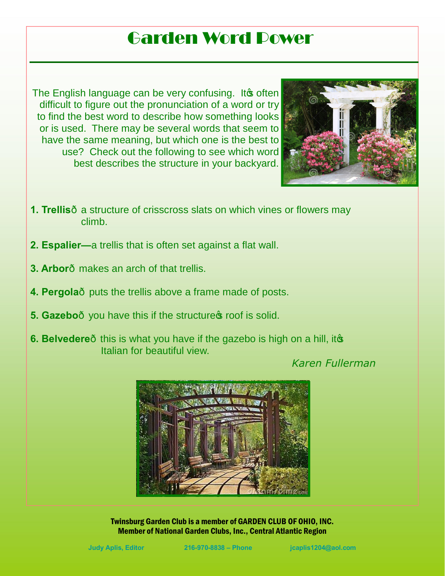## Garden Word Power

The English language can be very confusing. It often difficult to figure out the pronunciation of a word or try to find the best word to describe how something looks or is used. There may be several words that seem to have the same meaning, but which one is the best to use? Check out the following to see which word best describes the structure in your backyard.



- **1. Trellis** a structure of crisscross slats on which vines or flowers may climb.
- **2. Espalier—**a trellis that is often set against a flat wall.
- **3. Arbor**—makes an arch of that trellis.
- **4. Pergola** puts the trellis above a frame made of posts.
- **5. Gazebo** you have this if the structure **s** roof is solid.
- **6. Belvedere** this is what you have if the gazebo is high on a hill, ito Italian for beautiful view.

*Karen Fullerman*

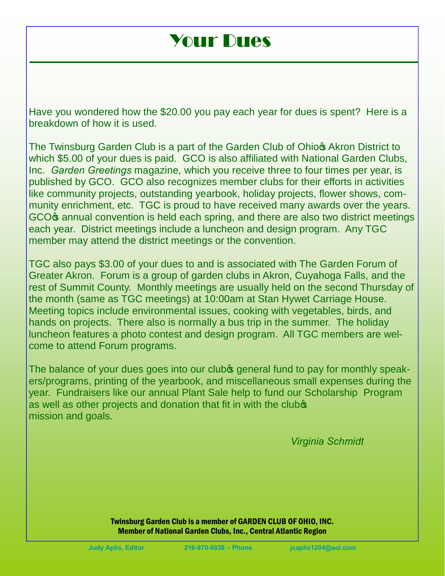## Your Dues

Have you wondered how the \$20.00 you pay each year for dues is spent? Here is a breakdown of how it is used.

The Twinsburg Garden Club is a part of the Garden Club of Ohior Akron District to which \$5.00 of your dues is paid. GCO is also affiliated with National Garden Clubs, Inc. *Garden Greetings* magazine, which you receive three to four times per year, is published by GCO. GCO also recognizes member clubs for their efforts in activities like community projects, outstanding yearbook, holiday projects, flower shows, community enrichment, etc. TGC is proud to have received many awards over the years. GCO<sub></sub> annual convention is held each spring, and there are also two district meetings each year. District meetings include a luncheon and design program. Any TGC member may attend the district meetings or the convention.

TGC also pays \$3.00 of your dues to and is associated with The Garden Forum of Greater Akron. Forum is a group of garden clubs in Akron, Cuyahoga Falls, and the rest of Summit County. Monthly meetings are usually held on the second Thursday of the month (same as TGC meetings) at 10:00am at Stan Hywet Carriage House. Meeting topics include environmental issues, cooking with vegetables, birds, and hands on projects. There also is normally a bus trip in the summer. The holiday luncheon features a photo contest and design program. All TGC members are welcome to attend Forum programs.

The balance of your dues goes into our clubos general fund to pay for monthly speakers/programs, printing of the yearbook, and miscellaneous small expenses during the year. Fundraisers like our annual Plant Sale help to fund our Scholarship Program as well as other projects and donation that fit in with the club<sup>s</sup> mission and goals.

*Virginia Schmidt*